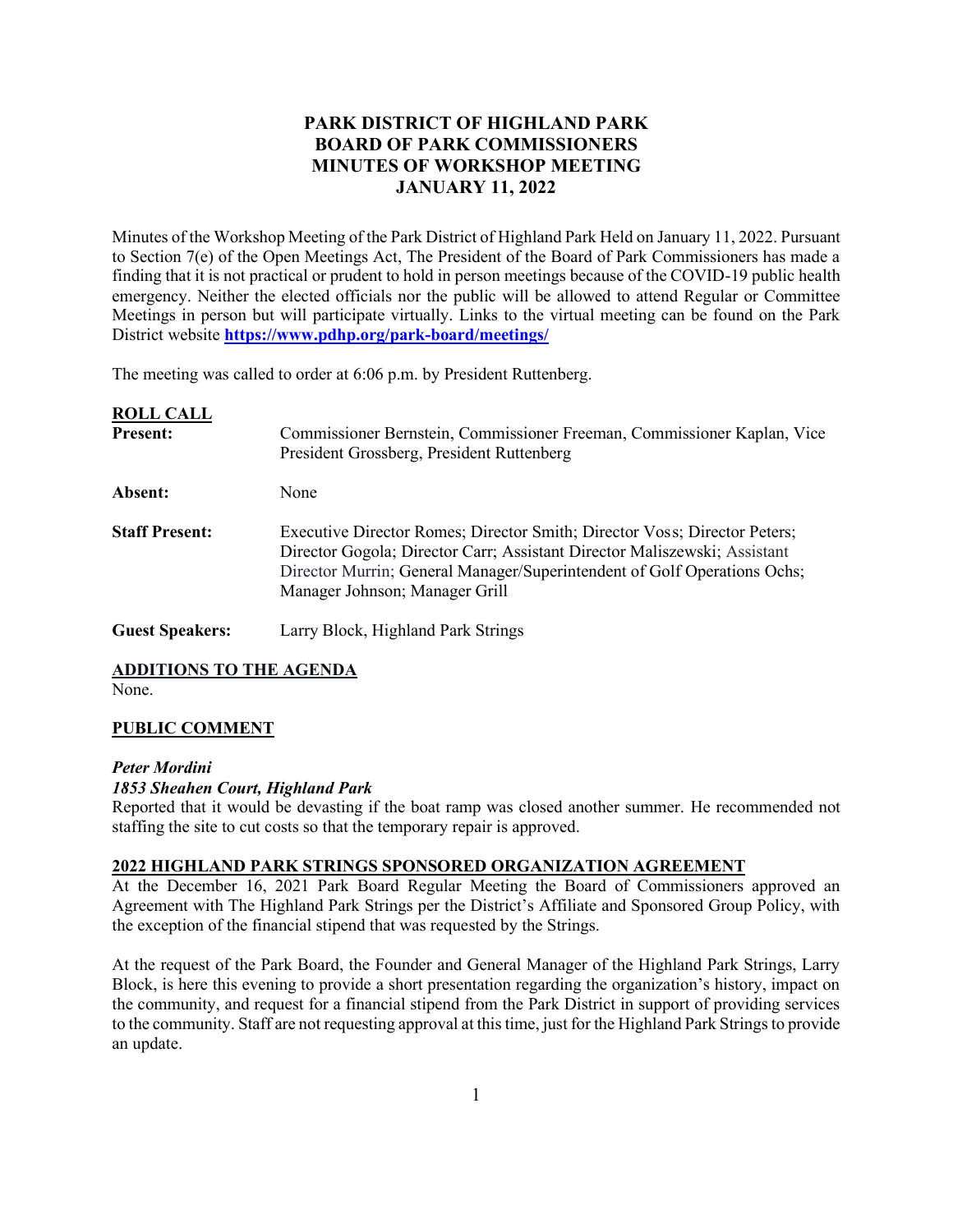# **PARK DISTRICT OF HIGHLAND PARK BOARD OF PARK COMMISSIONERS MINUTES OF WORKSHOP MEETING JANUARY 11, 2022**

Minutes of the Workshop Meeting of the Park District of Highland Park Held on January 11, 2022. Pursuant to Section 7(e) of the Open Meetings Act, The President of the Board of Park Commissioners has made a finding that it is not practical or prudent to hold in person meetings because of the COVID-19 public health emergency. Neither the elected officials nor the public will be allowed to attend Regular or Committee Meetings in person but will participate virtually. Links to the virtual meeting can be found on the Park District website **<https://www.pdhp.org/park-board/meetings/>**

The meeting was called to order at 6:06 p.m. by President Ruttenberg.

| <b>ROLL CALL</b><br><b>Present:</b> | Commissioner Bernstein, Commissioner Freeman, Commissioner Kaplan, Vice<br>President Grossberg, President Ruttenberg                                                                                                                                                 |
|-------------------------------------|----------------------------------------------------------------------------------------------------------------------------------------------------------------------------------------------------------------------------------------------------------------------|
| Absent:                             | None                                                                                                                                                                                                                                                                 |
| <b>Staff Present:</b>               | Executive Director Romes; Director Smith; Director Voss; Director Peters;<br>Director Gogola; Director Carr; Assistant Director Maliszewski; Assistant<br>Director Murrin; General Manager/Superintendent of Golf Operations Ochs;<br>Manager Johnson; Manager Grill |
| <b>Guest Speakers:</b>              | Larry Block, Highland Park Strings                                                                                                                                                                                                                                   |

**ADDITIONS TO THE AGENDA**

None.

# **PUBLIC COMMENT**

### *Peter Mordini*

### *1853 Sheahen Court, Highland Park*

Reported that it would be devasting if the boat ramp was closed another summer. He recommended not staffing the site to cut costs so that the temporary repair is approved.

### **2022 HIGHLAND PARK STRINGS SPONSORED ORGANIZATION AGREEMENT**

At the December 16, 2021 Park Board Regular Meeting the Board of Commissioners approved an Agreement with The Highland Park Strings per the District's Affiliate and Sponsored Group Policy, with the exception of the financial stipend that was requested by the Strings.

At the request of the Park Board, the Founder and General Manager of the Highland Park Strings, Larry Block, is here this evening to provide a short presentation regarding the organization's history, impact on the community, and request for a financial stipend from the Park District in support of providing services to the community. Staff are not requesting approval at this time, just for the Highland Park Strings to provide an update.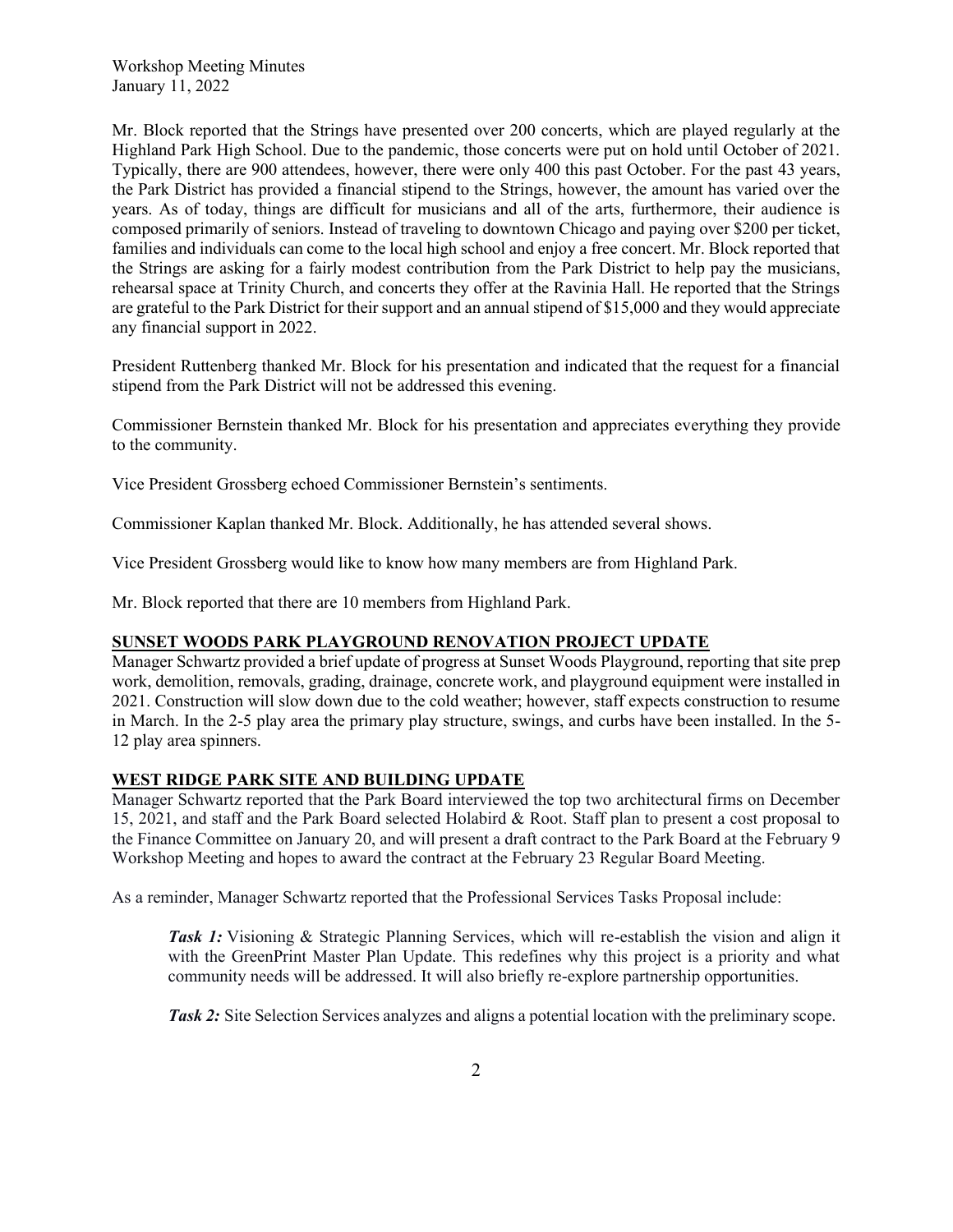Mr. Block reported that the Strings have presented over 200 concerts, which are played regularly at the Highland Park High School. Due to the pandemic, those concerts were put on hold until October of 2021. Typically, there are 900 attendees, however, there were only 400 this past October. For the past 43 years, the Park District has provided a financial stipend to the Strings, however, the amount has varied over the years. As of today, things are difficult for musicians and all of the arts, furthermore, their audience is composed primarily of seniors. Instead of traveling to downtown Chicago and paying over \$200 per ticket, families and individuals can come to the local high school and enjoy a free concert. Mr. Block reported that the Strings are asking for a fairly modest contribution from the Park District to help pay the musicians, rehearsal space at Trinity Church, and concerts they offer at the Ravinia Hall. He reported that the Strings are grateful to the Park District for their support and an annual stipend of \$15,000 and they would appreciate any financial support in 2022.

President Ruttenberg thanked Mr. Block for his presentation and indicated that the request for a financial stipend from the Park District will not be addressed this evening.

Commissioner Bernstein thanked Mr. Block for his presentation and appreciates everything they provide to the community.

Vice President Grossberg echoed Commissioner Bernstein's sentiments.

Commissioner Kaplan thanked Mr. Block. Additionally, he has attended several shows.

Vice President Grossberg would like to know how many members are from Highland Park.

Mr. Block reported that there are 10 members from Highland Park.

### **SUNSET WOODS PARK PLAYGROUND RENOVATION PROJECT UPDATE**

Manager Schwartz provided a brief update of progress at Sunset Woods Playground, reporting that site prep work, demolition, removals, grading, drainage, concrete work, and playground equipment were installed in 2021. Construction will slow down due to the cold weather; however, staff expects construction to resume in March. In the 2-5 play area the primary play structure, swings, and curbs have been installed. In the 5- 12 play area spinners.

### **WEST RIDGE PARK SITE AND BUILDING UPDATE**

Manager Schwartz reported that the Park Board interviewed the top two architectural firms on December 15, 2021, and staff and the Park Board selected Holabird & Root. Staff plan to present a cost proposal to the Finance Committee on January 20, and will present a draft contract to the Park Board at the February 9 Workshop Meeting and hopes to award the contract at the February 23 Regular Board Meeting.

As a reminder, Manager Schwartz reported that the Professional Services Tasks Proposal include:

*Task 1:* Visioning & Strategic Planning Services, which will re-establish the vision and align it with the GreenPrint Master Plan Update. This redefines why this project is a priority and what community needs will be addressed. It will also briefly re-explore partnership opportunities.

*Task 2:* Site Selection Services analyzes and aligns a potential location with the preliminary scope.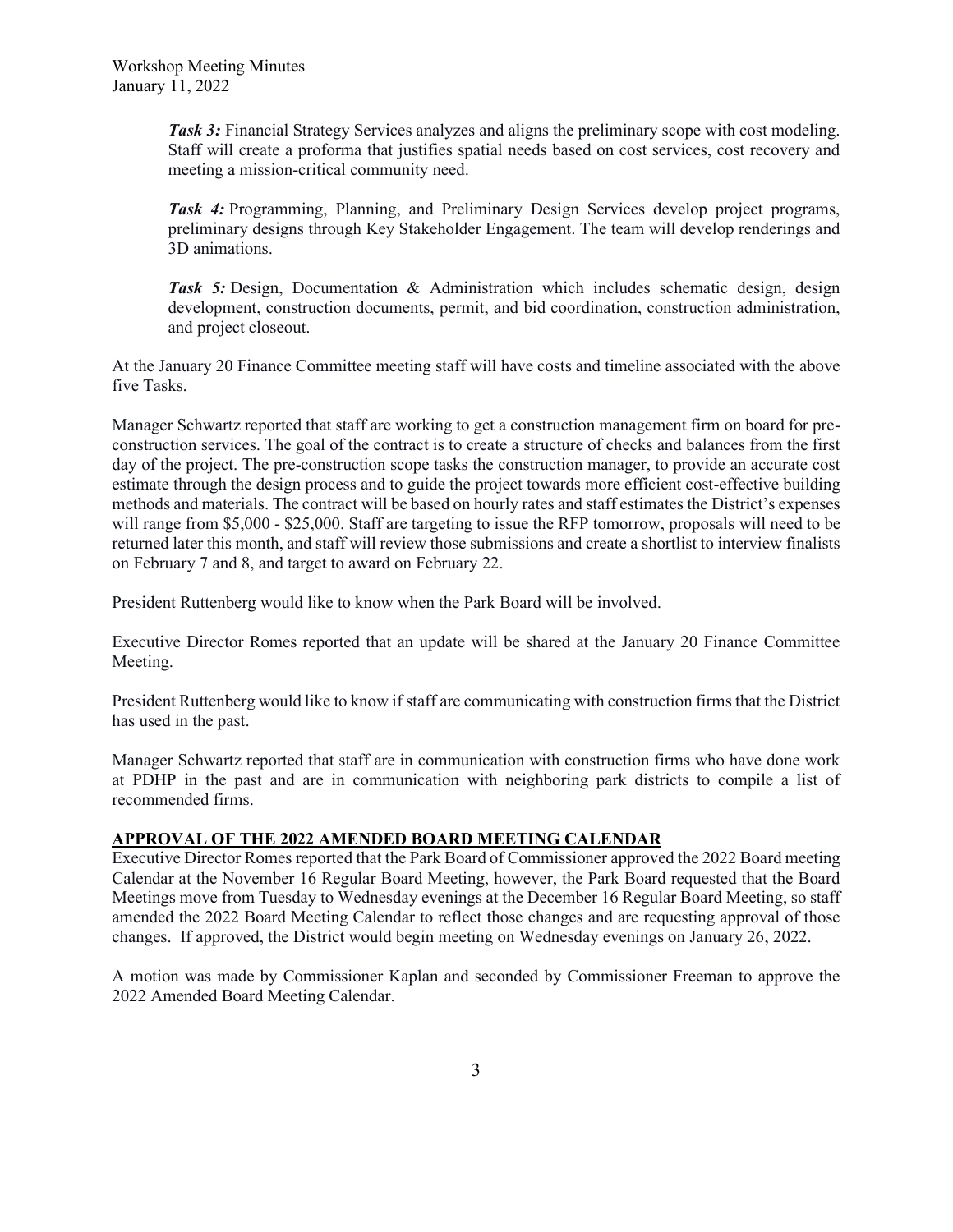*Task 3:* Financial Strategy Services analyzes and aligns the preliminary scope with cost modeling. Staff will create a proforma that justifies spatial needs based on cost services, cost recovery and meeting a mission-critical community need.

*Task 4:* Programming, Planning, and Preliminary Design Services develop project programs, preliminary designs through Key Stakeholder Engagement. The team will develop renderings and 3D animations.

*Task 5:* Design, Documentation & Administration which includes schematic design, design development, construction documents, permit, and bid coordination, construction administration, and project closeout.

At the January 20 Finance Committee meeting staff will have costs and timeline associated with the above five Tasks.

Manager Schwartz reported that staff are working to get a construction management firm on board for preconstruction services. The goal of the contract is to create a structure of checks and balances from the first day of the project. The pre-construction scope tasks the construction manager, to provide an accurate cost estimate through the design process and to guide the project towards more efficient cost-effective building methods and materials. The contract will be based on hourly rates and staff estimates the District's expenses will range from \$5,000 - \$25,000. Staff are targeting to issue the RFP tomorrow, proposals will need to be returned later this month, and staff will review those submissions and create a shortlist to interview finalists on February 7 and 8, and target to award on February 22.

President Ruttenberg would like to know when the Park Board will be involved.

Executive Director Romes reported that an update will be shared at the January 20 Finance Committee Meeting.

President Ruttenberg would like to know if staff are communicating with construction firms that the District has used in the past.

Manager Schwartz reported that staff are in communication with construction firms who have done work at PDHP in the past and are in communication with neighboring park districts to compile a list of recommended firms.

### **APPROVAL OF THE 2022 AMENDED BOARD MEETING CALENDAR**

Executive Director Romes reported that the Park Board of Commissioner approved the 2022 Board meeting Calendar at the November 16 Regular Board Meeting, however, the Park Board requested that the Board Meetings move from Tuesday to Wednesday evenings at the December 16 Regular Board Meeting, so staff amended the 2022 Board Meeting Calendar to reflect those changes and are requesting approval of those changes. If approved, the District would begin meeting on Wednesday evenings on January 26, 2022.

A motion was made by Commissioner Kaplan and seconded by Commissioner Freeman to approve the 2022 Amended Board Meeting Calendar.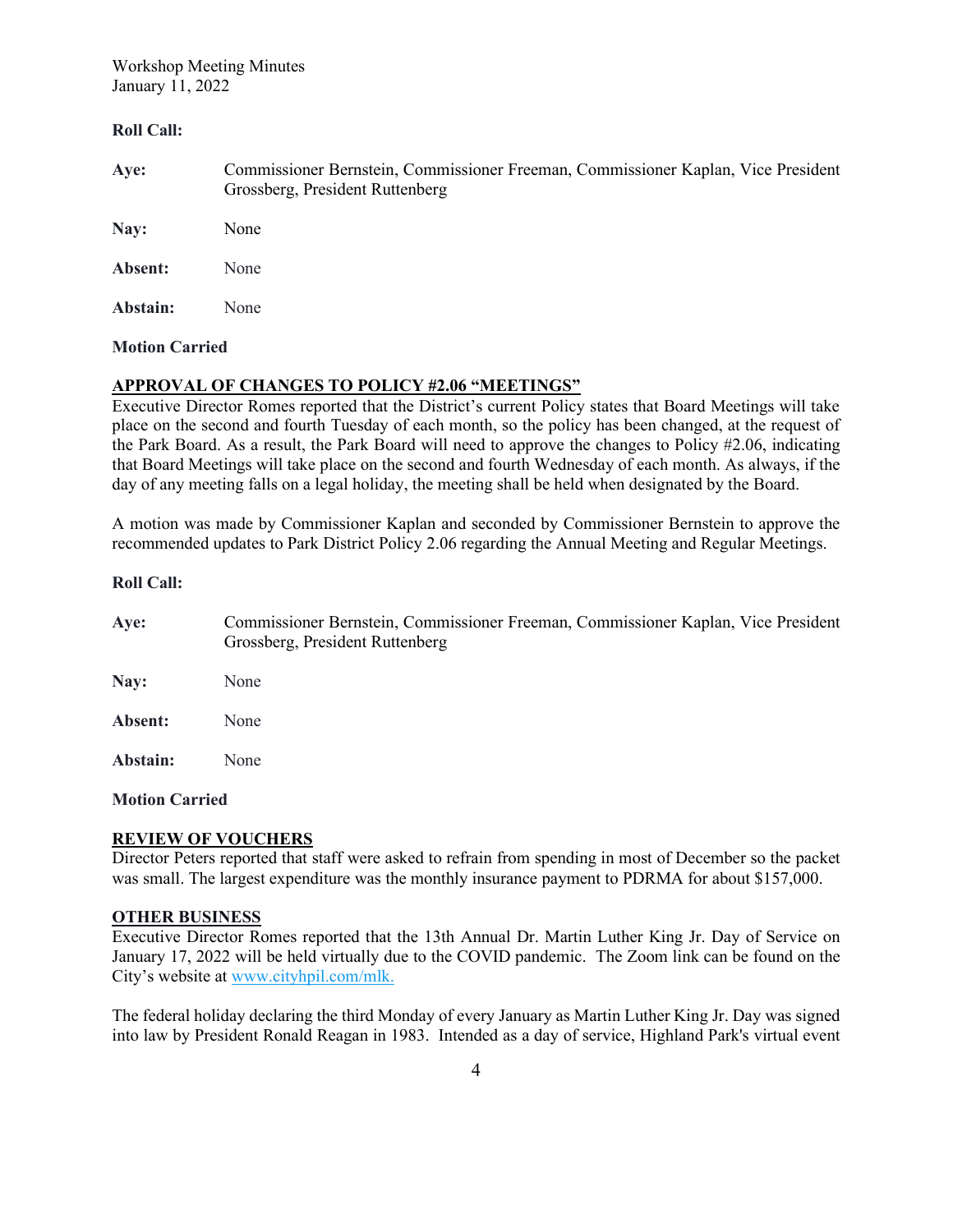Workshop Meeting Minutes January 11, 2022

#### **Roll Call:**

**Aye:** Commissioner Bernstein, Commissioner Freeman, Commissioner Kaplan, Vice President Grossberg, President Ruttenberg

**Nay:** None

**Absent:** None

**Abstain:** None

#### **Motion Carried**

#### **APPROVAL OF CHANGES TO POLICY #2.06 "MEETINGS"**

Executive Director Romes reported that the District's current Policy states that Board Meetings will take place on the second and fourth Tuesday of each month, so the policy has been changed, at the request of the Park Board. As a result, the Park Board will need to approve the changes to Policy #2.06, indicating that Board Meetings will take place on the second and fourth Wednesday of each month. As always, if the day of any meeting falls on a legal holiday, the meeting shall be held when designated by the Board.

A motion was made by Commissioner Kaplan and seconded by Commissioner Bernstein to approve the recommended updates to Park District Policy 2.06 regarding the Annual Meeting and Regular Meetings.

#### **Roll Call:**

**Aye:** Commissioner Bernstein, Commissioner Freeman, Commissioner Kaplan, Vice President Grossberg, President Ruttenberg **Nay:** None **Absent:** None **Abstain:** None

#### **Motion Carried**

#### **REVIEW OF VOUCHERS**

Director Peters reported that staff were asked to refrain from spending in most of December so the packet was small. The largest expenditure was the monthly insurance payment to PDRMA for about \$157,000.

#### **OTHER BUSINESS**

Executive Director Romes reported that the 13th Annual Dr. Martin Luther King Jr. Day of Service on January 17, 2022 will be held virtually due to the COVID pandemic. The Zoom link can be found on the City's website at [www.cityhpil.com/mlk.](rz:link)

The federal holiday declaring the third Monday of every January as Martin Luther King Jr. Day was signed into law by President Ronald Reagan in 1983. Intended as a day of service, Highland Park's virtual event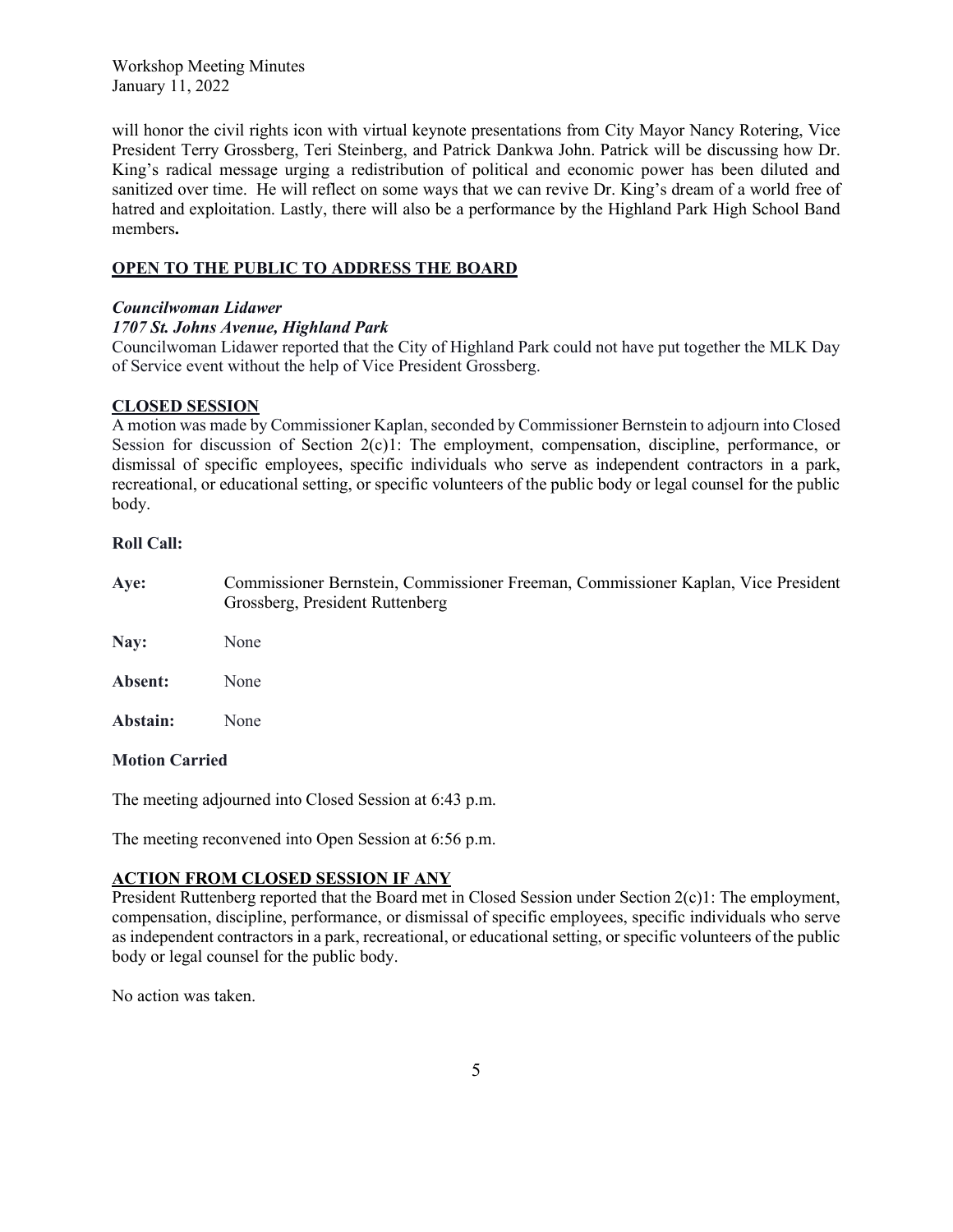Workshop Meeting Minutes January 11, 2022

will honor the civil rights icon with virtual keynote presentations from City Mayor Nancy Rotering, Vice President Terry Grossberg, Teri Steinberg, and Patrick Dankwa John. Patrick will be discussing how Dr. King's radical message urging a redistribution of political and economic power has been diluted and sanitized over time. He will reflect on some ways that we can revive Dr. King's dream of a world free of hatred and exploitation. Lastly, there will also be a performance by the Highland Park High School Band members**.** 

# **OPEN TO THE PUBLIC TO ADDRESS THE BOARD**

### *Councilwoman Lidawer*

### *1707 St. Johns Avenue, Highland Park*

Councilwoman Lidawer reported that the City of Highland Park could not have put together the MLK Day of Service event without the help of Vice President Grossberg.

# **CLOSED SESSION**

A motion was made by Commissioner Kaplan, seconded by Commissioner Bernstein to adjourn into Closed Session for discussion of Section 2(c)1: The employment, compensation, discipline, performance, or dismissal of specific employees, specific individuals who serve as independent contractors in a park, recreational, or educational setting, or specific volunteers of the public body or legal counsel for the public body.

### **Roll Call:**

| Aye:                  | Commissioner Bernstein, Commissioner Freeman, Commissioner Kaplan, Vice President<br>Grossberg, President Ruttenberg |
|-----------------------|----------------------------------------------------------------------------------------------------------------------|
| Nay:                  | None                                                                                                                 |
| Absent:               | None                                                                                                                 |
| Abstain:              | None                                                                                                                 |
| <b>Motion Carried</b> |                                                                                                                      |

The meeting adjourned into Closed Session at 6:43 p.m.

The meeting reconvened into Open Session at 6:56 p.m.

# **ACTION FROM CLOSED SESSION IF ANY**

President Ruttenberg reported that the Board met in Closed Session under Section 2(c)1: The employment, compensation, discipline, performance, or dismissal of specific employees, specific individuals who serve as independent contractors in a park, recreational, or educational setting, or specific volunteers of the public body or legal counsel for the public body.

No action was taken.